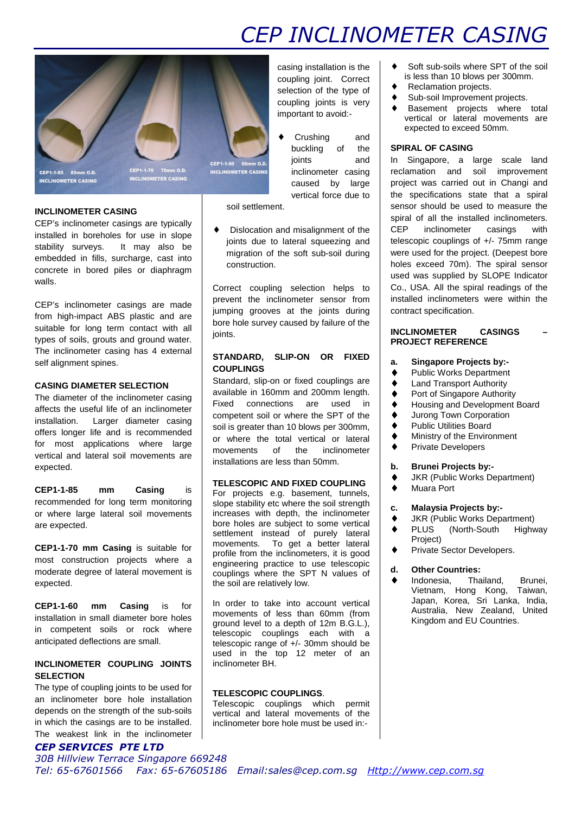# *CEP INCLINOMETER CASING*

Soft sub-soils where SPT of the soil is less than 10 blows per 300mm.

♦ Reclamation projects.

**SPIRAL OF CASING**

contract specification.

♦ Sub-soil Improvement projects. ♦ Basement projects where total vertical or lateral movements are

expected to exceed 50mm.

In Singapore, a large scale land reclamation and soil improvement project was carried out in Changi and the specifications state that a spiral sensor should be used to measure the spiral of all the installed inclinometers. CEP inclinometer casings with telescopic couplings of +/- 75mm range were used for the project. (Deepest bore holes exceed 70m). The spiral sensor used was supplied by SLOPE Indicator Co., USA. All the spiral readings of the installed inclinometers were within the



CEP1-1-85 85mm O.D. **INCLINOMETER CASING**  CEP1-1-70 70mm O.D.<br>INCLINOMETER CASING

### **INCLINOMETER CASING**

CEP's inclinometer casings are typically installed in boreholes for use in slope stability surveys. It may also be embedded in fills, surcharge, cast into concrete in bored piles or diaphragm walls.

CEP's inclinometer casings are made from high-impact ABS plastic and are suitable for long term contact with all types of soils, grouts and ground water. The inclinometer casing has 4 external self alignment spines.

## **CASING DIAMETER SELECTION**

The diameter of the inclinometer casing affects the useful life of an inclinometer installation. Larger diameter casing offers longer life and is recommended for most applications where large vertical and lateral soil movements are expected.

**CEP1-1-85 mm Casing** is recommended for long term monitoring or where large lateral soil movements are expected.

**CEP1-1-70 mm Casing** is suitable for most construction projects where a moderate degree of lateral movement is expected.

**CEP1-1-60 mm Casing** is for installation in small diameter bore holes in competent soils or rock where anticipated deflections are small.

## **INCLINOMETER COUPLING JOINTS SELECTION**

The type of coupling joints to be used for an inclinometer bore hole installation depends on the strength of the sub-soils in which the casings are to be installed. The weakest link in the inclinometer

## *CEP SERVICES PTE LTD*

### **TELESCOPIC AND FIXED COUPLING**

For projects e.g. basement, tunnels, slope stability etc where the soil strength increases with depth, the inclinometer bore holes are subject to some vertical settlement instead of purely lateral movements. To get a better lateral profile from the inclinometers, it is good engineering practice to use telescopic couplings where the SPT N values of the soil are relatively low.

In order to take into account vertical movements of less than 60mm (from ground level to a depth of 12m B.G.L.), telescopic couplings each with a telescopic range of +/- 30mm should be used in the top 12 meter of an inclinometer BH.

## **TELESCOPIC COUPLINGS**.

Telescopic couplings which permit vertical and lateral movements of the inclinometer bore hole must be used in:-

casing installation is the coupling joint. Correct selection of the type of coupling joints is very important to avoid:-

Crushing and buckling of the joints and inclinometer casing caused by large vertical force due to

soil settlement.

Dislocation and misalignment of the joints due to lateral squeezing and migration of the soft sub-soil during construction.

Correct coupling selection helps to prevent the inclinometer sensor from jumping grooves at the joints during bore hole survey caused by failure of the ioints.

## **STANDARD, SLIP-ON OR FIXED COUPLINGS**

Standard, slip-on or fixed couplings are available in 160mm and 200mm length. Fixed connections are used in competent soil or where the SPT of the soil is greater than 10 blows per 300mm. or where the total vertical or lateral movements of the inclinometer installations are less than 50mm.

## ♦ Port of Singapore Authority ♦ Housing and Development Board

♦ Jurong Town Corporation

**a. Singapore Projects by:-**  ♦ Public Works Department ♦ Land Transport Authority

- ♦ Public Utilities Board
- ♦ Ministry of the Environment

**INCLINOMETER CASINGS – PROJECT REFERENCE**

♦ Private Developers

#### **b. Brunei Projects by:-**

- ♦ JKR (Public Works Department)
- ♦ Muara Port

### **c. Malaysia Projects by:-**

- ♦ JKR (Public Works Department)
- ♦ PLUS (North-South Highway Project)
- ♦ Private Sector Developers.

### **d. Other Countries:**

♦ Indonesia, Thailand, Brunei, Vietnam, Hong Kong, Taiwan, Japan, Korea, Sri Lanka, India, Australia, New Zealand, United Kingdom and EU Countries.